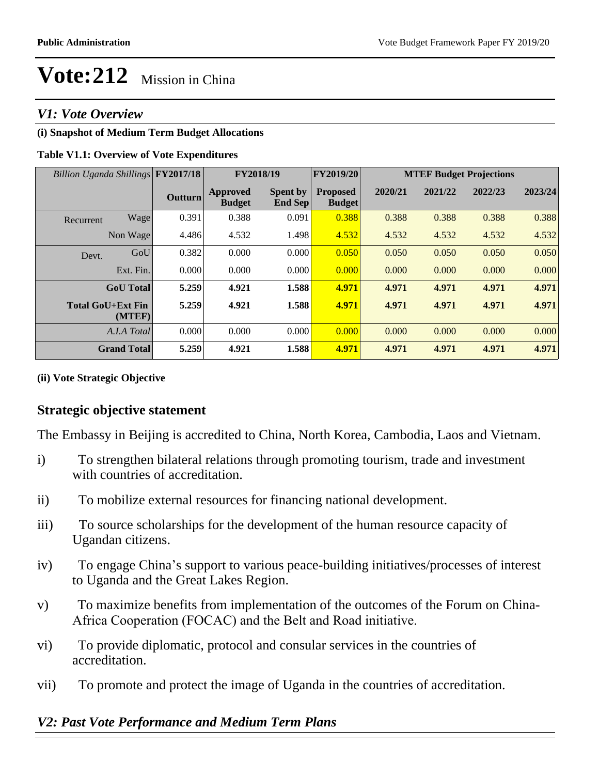### *V1: Vote Overview*

### **(i) Snapshot of Medium Term Budget Allocations**

### **Table V1.1: Overview of Vote Expenditures**

| Billion Uganda Shillings FY2017/18 |                    |                | FY2018/19                 |                                   | FY2019/20                        | <b>MTEF Budget Projections</b> |         |         |         |
|------------------------------------|--------------------|----------------|---------------------------|-----------------------------------|----------------------------------|--------------------------------|---------|---------|---------|
|                                    |                    | <b>Outturn</b> | Approved<br><b>Budget</b> | <b>Spent by</b><br><b>End Sep</b> | <b>Proposed</b><br><b>Budget</b> | 2020/21                        | 2021/22 | 2022/23 | 2023/24 |
| Recurrent                          | Wage               | 0.391          | 0.388                     | 0.091                             | 0.388                            | 0.388                          | 0.388   | 0.388   | 0.388   |
|                                    | Non Wage           | 4.486          | 4.532                     | 1.498                             | 4.532                            | 4.532                          | 4.532   | 4.532   | 4.532   |
| Devt.                              | GoU                | 0.382          | 0.000                     | 0.000                             | 0.050                            | 0.050                          | 0.050   | 0.050   | 0.050   |
|                                    | Ext. Fin.          | 0.000          | 0.000                     | 0.000                             | 0.000                            | 0.000                          | 0.000   | 0.000   | 0.000   |
|                                    | <b>GoU</b> Total   | 5.259          | 4.921                     | 1.588                             | 4.971                            | 4.971                          | 4.971   | 4.971   | 4.971   |
| <b>Total GoU+Ext Fin</b>           | (MTEF)             | 5.259          | 4.921                     | 1.588                             | 4.971                            | 4.971                          | 4.971   | 4.971   | 4.971   |
|                                    | A.I.A Total        | 0.000          | 0.000                     | 0.000                             | 0.000                            | 0.000                          | 0.000   | 0.000   | 0.000   |
|                                    | <b>Grand Total</b> | 5.259          | 4.921                     | 1.588                             | 4.971                            | 4.971                          | 4.971   | 4.971   | 4.971   |

### **(ii) Vote Strategic Objective**

### **Strategic objective statement**

The Embassy in Beijing is accredited to China, North Korea, Cambodia, Laos and Vietnam.

- i) To strengthen bilateral relations through promoting tourism, trade and investment with countries of accreditation.
- ii) To mobilize external resources for financing national development.
- iii) To source scholarships for the development of the human resource capacity of Ugandan citizens.
- iv) To engage China's support to various peace-building initiatives/processes of interest to Uganda and the Great Lakes Region.
- v)To maximize benefits from implementation of the outcomes of the Forum on China- Africa Cooperation (FOCAC) and the Belt and Road initiative.
- vi)To provide diplomatic, protocol and consular services in the countries of accreditation.
- vii) To promote and protect the image of Uganda in the countries of accreditation.

### *V2: Past Vote Performance and Medium Term Plans*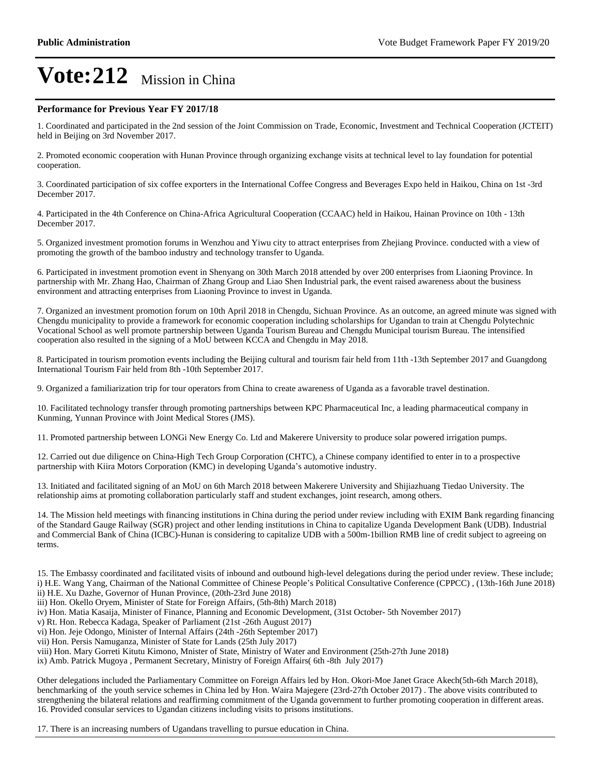#### **Performance for Previous Year FY 2017/18**

1. Coordinated and participated in the 2nd session of the Joint Commission on Trade, Economic, Investment and Technical Cooperation (JCTEIT) held in Beijing on 3rd November 2017.

2. Promoted economic cooperation with Hunan Province through organizing exchange visits at technical level to lay foundation for potential cooperation.

3. Coordinated participation of six coffee exporters in the International Coffee Congress and Beverages Expo held in Haikou, China on 1st -3rd December 2017.

4. Participated in the 4th Conference on China-Africa Agricultural Cooperation (CCAAC) held in Haikou, Hainan Province on 10th - 13th December 2017.

5. Organized investment promotion forums in Wenzhou and Yiwu city to attract enterprises from Zhejiang Province. conducted with a view of promoting the growth of the bamboo industry and technology transfer to Uganda.

6. Participated in investment promotion event in Shenyang on 30th March 2018 attended by over 200 enterprises from Liaoning Province. In partnership with Mr. Zhang Hao, Chairman of Zhang Group and Liao Shen Industrial park, the event raised awareness about the business environment and attracting enterprises from Liaoning Province to invest in Uganda.

7. Organized an investment promotion forum on 10th April 2018 in Chengdu, Sichuan Province. As an outcome, an agreed minute was signed with Chengdu municipality to provide a framework for economic cooperation including scholarships for Ugandan to train at Chengdu Polytechnic Vocational School as well promote partnership between Uganda Tourism Bureau and Chengdu Municipal tourism Bureau. The intensified cooperation also resulted in the signing of a MoU between KCCA and Chengdu in May 2018.

8. Participated in tourism promotion events including the Beijing cultural and tourism fair held from 11th -13th September 2017 and Guangdong International Tourism Fair held from 8th -10th September 2017.

9. Organized a familiarization trip for tour operators from China to create awareness of Uganda as a favorable travel destination.

10. Facilitated technology transfer through promoting partnerships between KPC Pharmaceutical Inc, a leading pharmaceutical company in Kunming, Yunnan Province with Joint Medical Stores (JMS).

11. Promoted partnership between LONGi New Energy Co. Ltd and Makerere University to produce solar powered irrigation pumps.

12. Carried out due diligence on China-High Tech Group Corporation (CHTC), a Chinese company identified to enter in to a prospective partnership with Kiira Motors Corporation (KMC) in developing Uganda's automotive industry.

13. Initiated and facilitated signing of an MoU on 6th March 2018 between Makerere University and Shijiazhuang Tiedao University. The relationship aims at promoting collaboration particularly staff and student exchanges, joint research, among others.

14. The Mission held meetings with financing institutions in China during the period under review including with EXIM Bank regarding financing of the Standard Gauge Railway (SGR) project and other lending institutions in China to capitalize Uganda Development Bank (UDB). Industrial and Commercial Bank of China (ICBC)-Hunan is considering to capitalize UDB with a 500m-1billion RMB line of credit subject to agreeing on terms.

15. The Embassy coordinated and facilitated visits of inbound and outbound high-level delegations during the period under review. These include; i) H.E. Wang Yang, Chairman of the National Committee of Chinese People's Political Consultative Conference (CPPCC), (13th-16th June 2018) ii) H.E. Xu Dazhe, Governor of Hunan Province, (20th-23rd June 2018)

iii) Hon. Okello Oryem, Minister of State for Foreign Affairs, (5th-8th) March 2018)

iv) Hon. Matia Kasaija, Minister of Finance, Planning and Economic Development, (31st October- 5th November 2017)

v) Rt. Hon. Rebecca Kadaga, Speaker of Parliament (21st -26th August 2017)

vi) Hon. Jeje Odongo, Minister of Internal Affairs (24th -26th September 2017)

vii) Hon. Persis Namuganza, Minister of State for Lands (25th July 2017)

viii) Hon. Mary Gorreti Kitutu Kimono, Mnister of State, Ministry of Water and Environment (25th-27th June 2018)

ix) Amb. Patrick Mugoya , Permanent Secretary, Ministry of Foreign Affairs( 6th -8th July 2017)

Other delegations included the Parliamentary Committee on Foreign Affairs led by Hon. Okori-Moe Janet Grace Akech(5th-6th March 2018), benchmarking of the youth service schemes in China led by Hon. Waira Majegere (23rd-27th October 2017) . The above visits contributed to strengthening the bilateral relations and reaffirming commitment of the Uganda government to further promoting cooperation in different areas. 16. Provided consular services to Ugandan citizens including visits to prisons institutions.

17. There is an increasing numbers of Ugandans travelling to pursue education in China.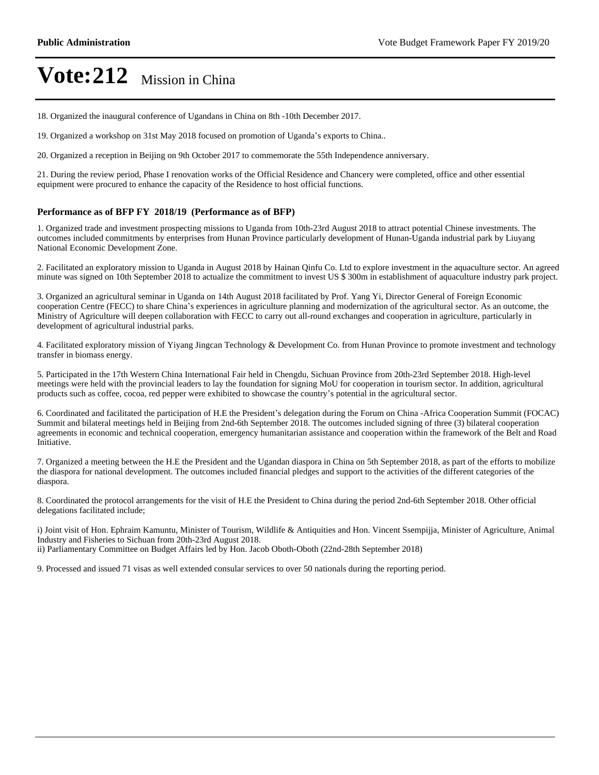18. Organized the inaugural conference of Ugandans in China on 8th -10th December 2017.

19. Organized a workshop on 31st May 2018 focused on promotion of Uganda's exports to China..

20. Organized a reception in Beijing on 9th October 2017 to commemorate the 55th Independence anniversary.

21. During the review period, Phase I renovation works of the Official Residence and Chancery were completed, office and other essential equipment were procured to enhance the capacity of the Residence to host official functions.

#### **Performance as of BFP FY 2018/19 (Performance as of BFP)**

1. Organized trade and investment prospecting missions to Uganda from 10th-23rd August 2018 to attract potential Chinese investments. The outcomes included commitments by enterprises from Hunan Province particularly development of Hunan-Uganda industrial park by Liuyang National Economic Development Zone.

2. Facilitated an exploratory mission to Uganda in August 2018 by Hainan Qinfu Co. Ltd to explore investment in the aquaculture sector. An agreed minute was signed on 10th September 2018 to actualize the commitment to invest US \$ 300m in establishment of aquaculture industry park project.

3. Organized an agricultural seminar in Uganda on 14th August 2018 facilitated by Prof. Yang Yi, Director General of Foreign Economic cooperation Centre (FECC) to share China's experiences in agriculture planning and modernization of the agricultural sector. As an outcome, the Ministry of Agriculture will deepen collaboration with FECC to carry out all-round exchanges and cooperation in agriculture, particularly in development of agricultural industrial parks.

4. Facilitated exploratory mission of Yiyang Jingcan Technology & Development Co. from Hunan Province to promote investment and technology transfer in biomass energy.

5. Participated in the 17th Western China International Fair held in Chengdu, Sichuan Province from 20th-23rd September 2018. High-level meetings were held with the provincial leaders to lay the foundation for signing MoU for cooperation in tourism sector. In addition, agricultural products such as coffee, cocoa, red pepper were exhibited to showcase the country's potential in the agricultural sector.

6. Coordinated and facilitated the participation of H.E the President's delegation during the Forum on China -Africa Cooperation Summit (FOCAC) Summit and bilateral meetings held in Beijing from 2nd-6th September 2018. The outcomes included signing of three (3) bilateral cooperation agreements in economic and technical cooperation, emergency humanitarian assistance and cooperation within the framework of the Belt and Road Initiative.

7. Organized a meeting between the H.E the President and the Ugandan diaspora in China on 5th September 2018, as part of the efforts to mobilize the diaspora for national development. The outcomes included financial pledges and support to the activities of the different categories of the diaspora.

8. Coordinated the protocol arrangements for the visit of H.E the President to China during the period 2nd-6th September 2018. Other official delegations facilitated include;

i) Joint visit of Hon. Ephraim Kamuntu, Minister of Tourism, Wildlife & Antiquities and Hon. Vincent Ssempijja, Minister of Agriculture, Animal Industry and Fisheries to Sichuan from 20th-23rd August 2018. ii) Parliamentary Committee on Budget Affairs led by Hon. Jacob Oboth-Oboth (22nd-28th September 2018)

9. Processed and issued 71 visas as well extended consular services to over 50 nationals during the reporting period.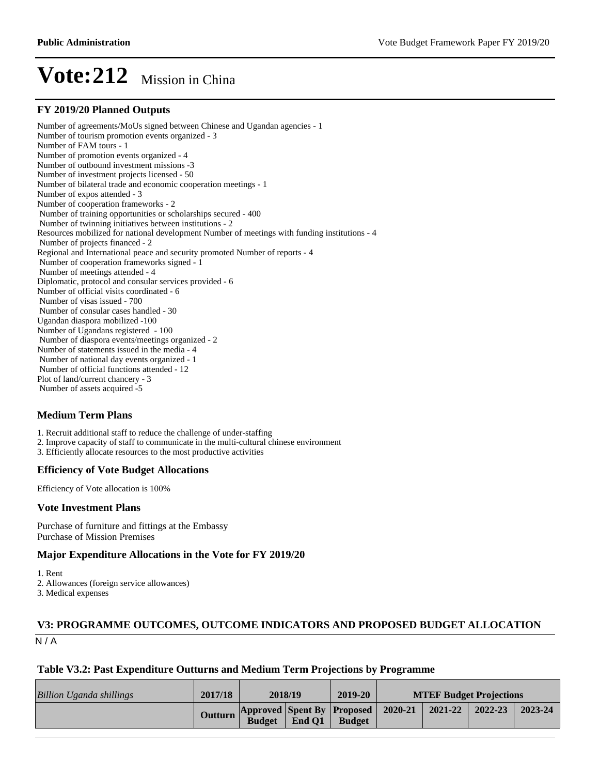#### **FY 2019/20 Planned Outputs**

Number of agreements/MoUs signed between Chinese and Ugandan agencies - 1 Number of tourism promotion events organized - 3 Number of FAM tours - 1 Number of promotion events organized - 4 Number of outbound investment missions -3 Number of investment projects licensed - 50 Number of bilateral trade and economic cooperation meetings - 1 Number of expos attended - 3 Number of cooperation frameworks - 2 Number of training opportunities or scholarships secured - 400 Number of twinning initiatives between institutions - 2 Resources mobilized for national development Number of meetings with funding institutions - 4 Number of projects financed - 2 Regional and International peace and security promoted Number of reports - 4 Number of cooperation frameworks signed - 1 Number of meetings attended - 4 Diplomatic, protocol and consular services provided - 6 Number of official visits coordinated - 6 Number of visas issued - 700 Number of consular cases handled - 30 Ugandan diaspora mobilized -100 Number of Ugandans registered - 100 Number of diaspora events/meetings organized - 2 Number of statements issued in the media - 4 Number of national day events organized - 1 Number of official functions attended - 12 Plot of land/current chancery - 3 Number of assets acquired -5

#### **Medium Term Plans**

1. Recruit additional staff to reduce the challenge of under-staffing

- 2. Improve capacity of staff to communicate in the multi-cultural chinese environment
- 3. Efficiently allocate resources to the most productive activities

#### **Efficiency of Vote Budget Allocations**

Efficiency of Vote allocation is 100%

#### **Vote Investment Plans**

Purchase of furniture and fittings at the Embassy Purchase of Mission Premises

#### **Major Expenditure Allocations in the Vote for FY 2019/20**

1. Rent

2. Allowances (foreign service allowances)

3. Medical expenses

#### $N/A$ **V3: PROGRAMME OUTCOMES, OUTCOME INDICATORS AND PROPOSED BUDGET ALLOCATION**

#### **Table V3.2: Past Expenditure Outturns and Medium Term Projections by Programme**

| Billion Uganda shillings | 2017/18 | 2018/19       |        | 2019-20                                             | <b>MTEF Budget Projections</b> |         |         |         |
|--------------------------|---------|---------------|--------|-----------------------------------------------------|--------------------------------|---------|---------|---------|
|                          | Outturn | <b>Budget</b> | End O1 | Approved Spent By Proposed 2020-21<br><b>Budget</b> |                                | 2021-22 | 2022-23 | 2023-24 |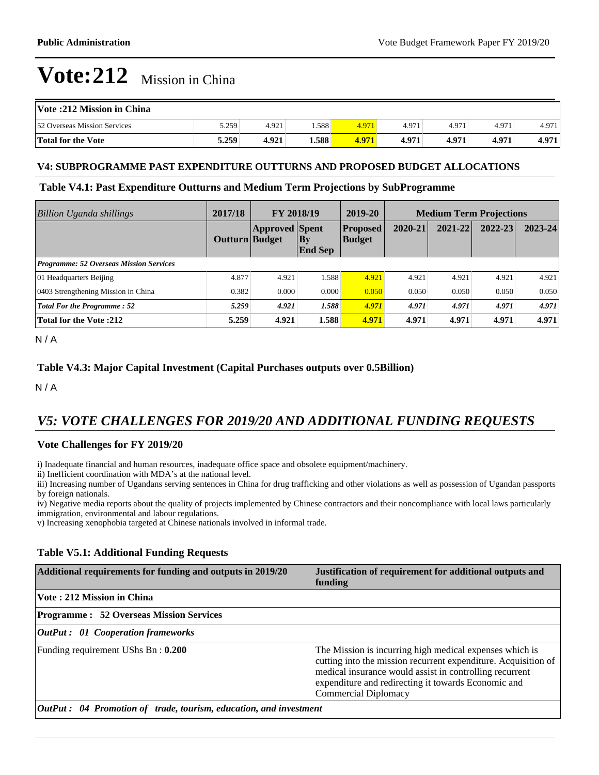| Vote :212 Mission in China   |       |       |        |       |       |       |       |       |
|------------------------------|-------|-------|--------|-------|-------|-------|-------|-------|
| 52 Overseas Mission Services | 5.259 | 4.921 | .588   | 4.971 | 4.971 | 4.971 | 4.971 | 4.971 |
| Total for the Vote           | 5.259 | 4.921 | 1.588' | 4.971 | 4.971 | 4.971 | 4.971 | 4.971 |

#### **V4: SUBPROGRAMME PAST EXPENDITURE OUTTURNS AND PROPOSED BUDGET ALLOCATIONS**

#### **Table V4.1: Past Expenditure Outturns and Medium Term Projections by SubProgramme**

| <b>Billion Uganda shillings</b>                | 2017/18        | FY 2018/19            |                             | 2019-20                          | <b>Medium Term Projections</b> |         |             |         |
|------------------------------------------------|----------------|-----------------------|-----------------------------|----------------------------------|--------------------------------|---------|-------------|---------|
|                                                | Outturn Budget | <b>Approved</b> Spent | $\bf{By}$<br><b>End Sep</b> | <b>Proposed</b><br><b>Budget</b> | 2020-21                        | 2021-22 | $2022 - 23$ | 2023-24 |
| <b>Programme: 52 Overseas Mission Services</b> |                |                       |                             |                                  |                                |         |             |         |
| 01 Headquarters Beijing                        | 4.877          | 4.921                 | 1.588                       | 4.921                            | 4.921                          | 4.921   | 4.921       | 4.921   |
| 0403 Strengthening Mission in China            | 0.382          | 0.000                 | 0.000                       | 0.050                            | 0.050                          | 0.050   | 0.050       | 0.050   |
| <b>Total For the Programme: 52</b>             | 5.259          | 4.921                 | 1.588                       | 4.971                            | 4.971                          | 4.971   | 4.971       | 4.971   |
| <b>Total for the Vote :212</b>                 | 5.259          | 4.921                 | 1.588                       | 4.971                            | 4.971                          | 4.971   | 4.971       | 4.971   |

 $N/A$ 

#### **Table V4.3: Major Capital Investment (Capital Purchases outputs over 0.5Billion)**

 $N/A$ 

## *V5: VOTE CHALLENGES FOR 2019/20 AND ADDITIONAL FUNDING REQUESTS*

#### **Vote Challenges for FY 2019/20**

i) Inadequate financial and human resources, inadequate office space and obsolete equipment/machinery.

ii) Inefficient coordination with MDA's at the national level.

iii) Increasing number of Ugandans serving sentences in China for drug trafficking and other violations as well as possession of Ugandan passports by foreign nationals.

iv) Negative media reports about the quality of projects implemented by Chinese contractors and their noncompliance with local laws particularly immigration, environmental and labour regulations.

v) Increasing xenophobia targeted at Chinese nationals involved in informal trade.

#### **Table V5.1: Additional Funding Requests**

| Additional requirements for funding and outputs in 2019/20                | Justification of requirement for additional outputs and<br>funding                                                                                                                                                                                                  |
|---------------------------------------------------------------------------|---------------------------------------------------------------------------------------------------------------------------------------------------------------------------------------------------------------------------------------------------------------------|
| Vote: 212 Mission in China                                                |                                                                                                                                                                                                                                                                     |
| <b>Programme : 52 Overseas Mission Services</b>                           |                                                                                                                                                                                                                                                                     |
| <b>OutPut : 01 Cooperation frameworks</b>                                 |                                                                                                                                                                                                                                                                     |
| Funding requirement UShs Bn: 0.200                                        | The Mission is incurring high medical expenses which is<br>cutting into the mission recurrent expenditure. Acquisition of<br>medical insurance would assist in controlling recurrent<br>expenditure and redirecting it towards Economic and<br>Commercial Diplomacy |
| <b>OutPut</b> : 04 Promotion of trade, tourism, education, and investment |                                                                                                                                                                                                                                                                     |